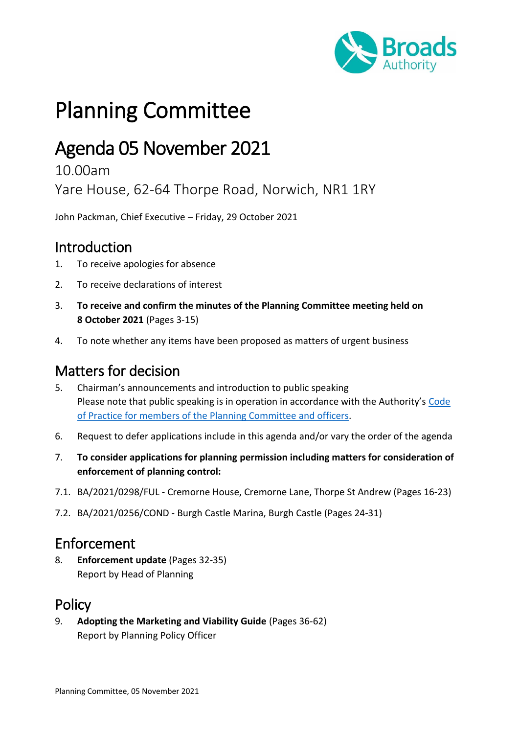

# Planning Committee

## Agenda 05 November 2021

#### 10.00am

Yare House, 62-64 Thorpe Road, Norwich, NR1 1RY

John Packman, Chief Executive – Friday, 29 October 2021

#### Introduction

- 1. To receive apologies for absence
- 2. To receive declarations of interest
- 3. **To receive and confirm the minutes of the Planning Committee meeting held on 8 October 2021** (Pages 3-15)
- 4. To note whether any items have been proposed as matters of urgent business

### Matters for decision

- 5. Chairman's announcements and introduction to public speaking Please note that public speaking is in operation in accordance with the Authority's Code [of Practice for members of the Planning Committee](https://www.broads-authority.gov.uk/__data/assets/pdf_file/0029/182828/Code-of-Practice-for-Members-of-the-Planning-Committee-and-Officers.pdf) and officers.
- 6. Request to defer applications include in this agenda and/or vary the order of the agenda
- 7. **To consider applications for planning permission including matters for consideration of enforcement of planning control:**
- 7.1. BA/2021/0298/FUL Cremorne House, Cremorne Lane, Thorpe St Andrew (Pages 16-23)
- 7.2. BA/2021/0256/COND Burgh Castle Marina, Burgh Castle (Pages 24-31)

#### Enforcement

8. **Enforcement update** (Pages 32-35) Report by Head of Planning

#### Policy

9. **Adopting the Marketing and Viability Guide** (Pages 36-62) Report by Planning Policy Officer